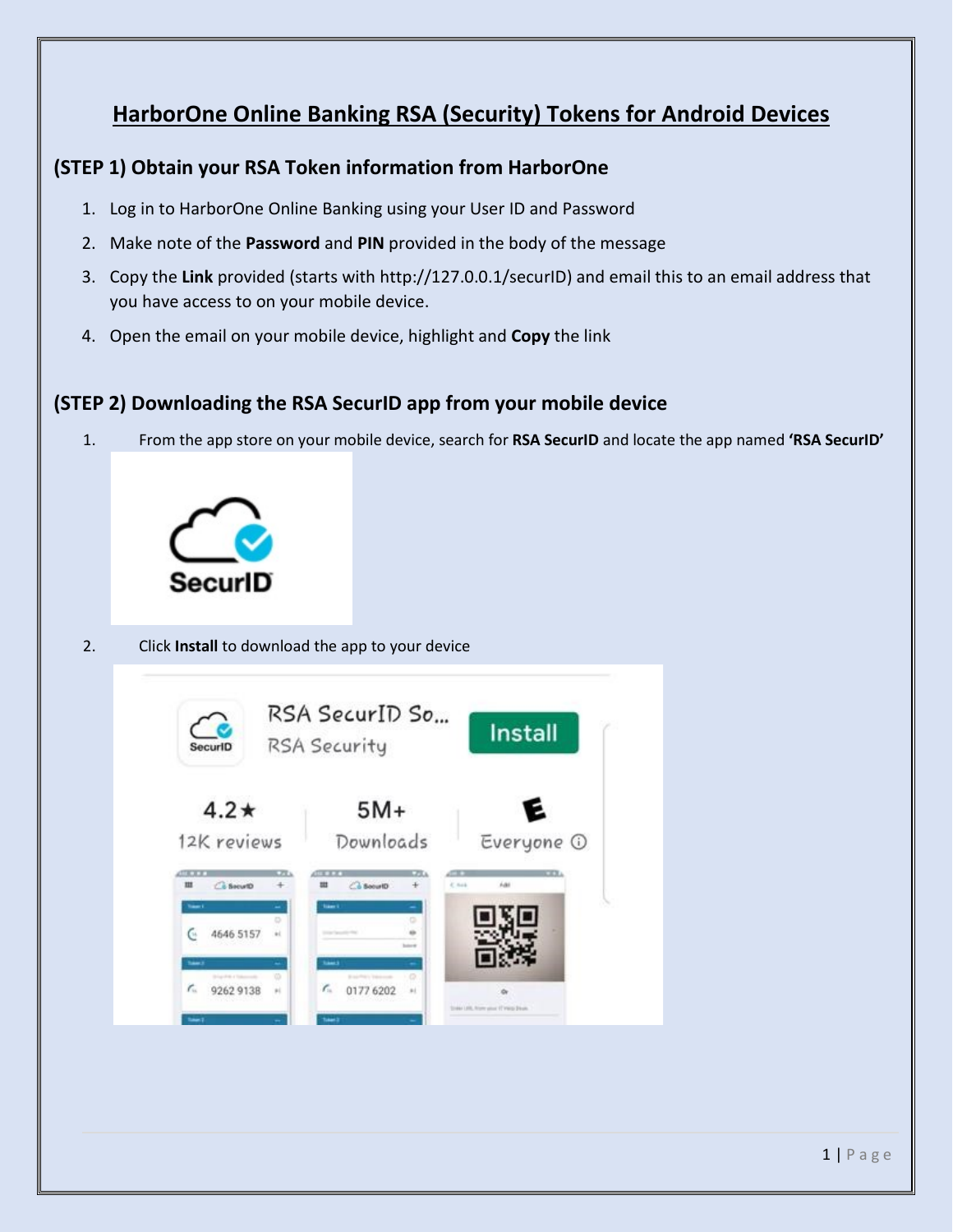# **HarborOne Online Banking RSA (Security) Tokens for Android Devices**

#### **(STEP 1) Obtain your RSA Token information from HarborOne**

- 1. Log in to HarborOne Online Banking using your User ID and Password
- 2. Make note of the **Password** and **PIN** provided in the body of the message
- 3. Copy the **Link** provided (starts with http://127.0.0.1/securID) and email this to an email address that you have access to on your mobile device.
- 4. Open the email on your mobile device, highlight and **Copy** the link

### **(STEP 2) Downloading the RSA SecurID app from your mobile device**

1. From the app store on your mobile device, search for **RSA SecurID** and locate the app named **'RSA SecurID'**



#### 2. Click **Install** to download the app to your device

| SecuriD                                                                     | RSA SecurID So<br>RSA Security                           | <b>Install</b>            |
|-----------------------------------------------------------------------------|----------------------------------------------------------|---------------------------|
| $4.2*$<br>12K reviews                                                       | $5M+$<br>Downloads                                       | E<br>Everyone 1           |
| <b>TT</b><br><b>C</b> & BecuriD<br>ш<br>$+$                                 | <b>CPE</b><br>$C_0$ Societ <sub>D</sub><br>$+$           | $-13$<br>A44<br>$C$ field |
| taari<br>$\overline{\phantom{a}}$<br>D.<br>4646 5157<br>$_{\rm{el}}$<br>CH. | traum it<br>-<br>bare of                                 |                           |
| <b>Sales</b><br>$\overline{\phantom{a}}$<br>w<br><b>Brigades Columns</b>    | <b>Samuel</b><br>÷<br><b>O</b><br><b>Excellent Color</b> |                           |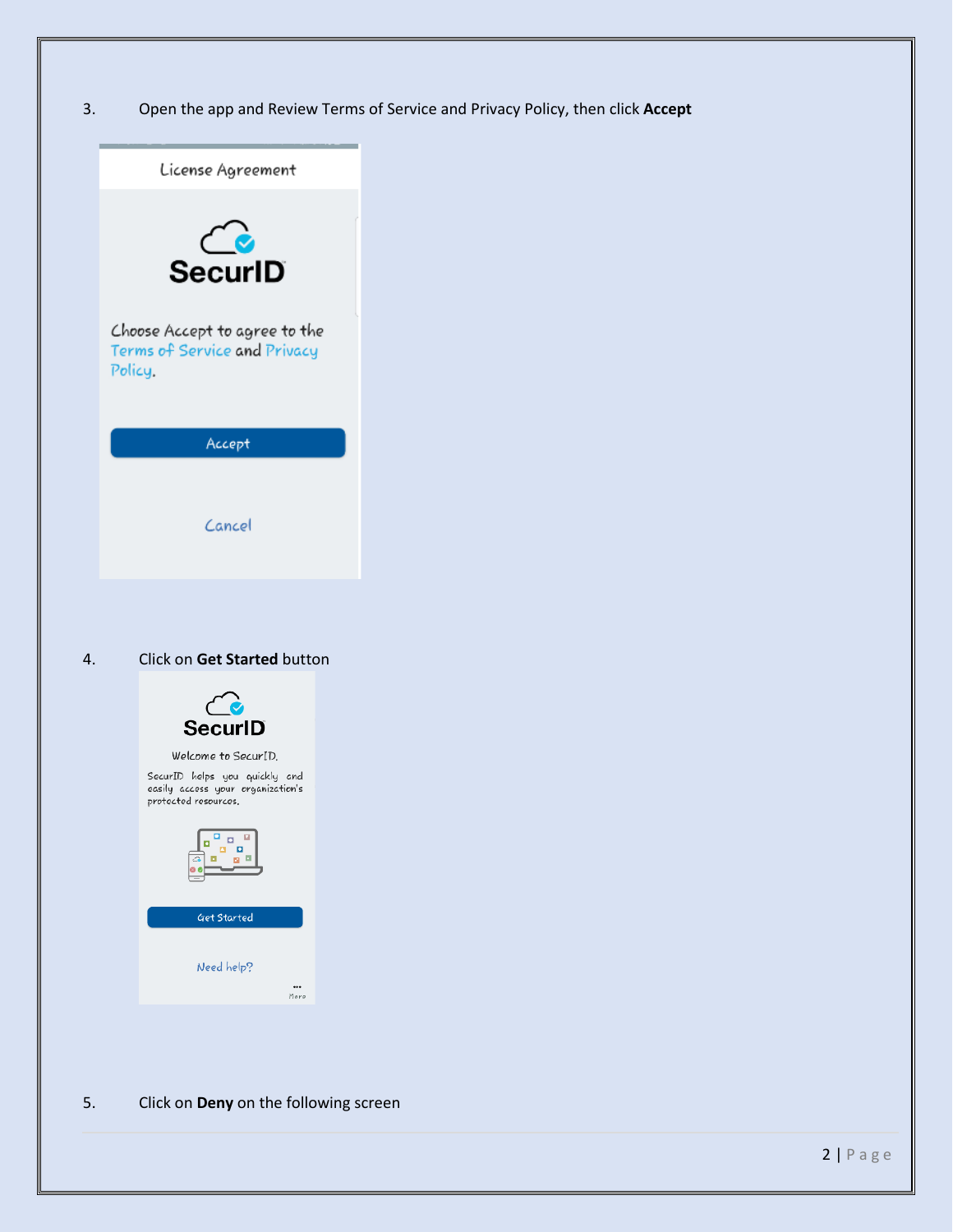3. Open the app and Review Terms of Service and Privacy Policy, then click **Accept**



5. Click on **Deny** on the following screen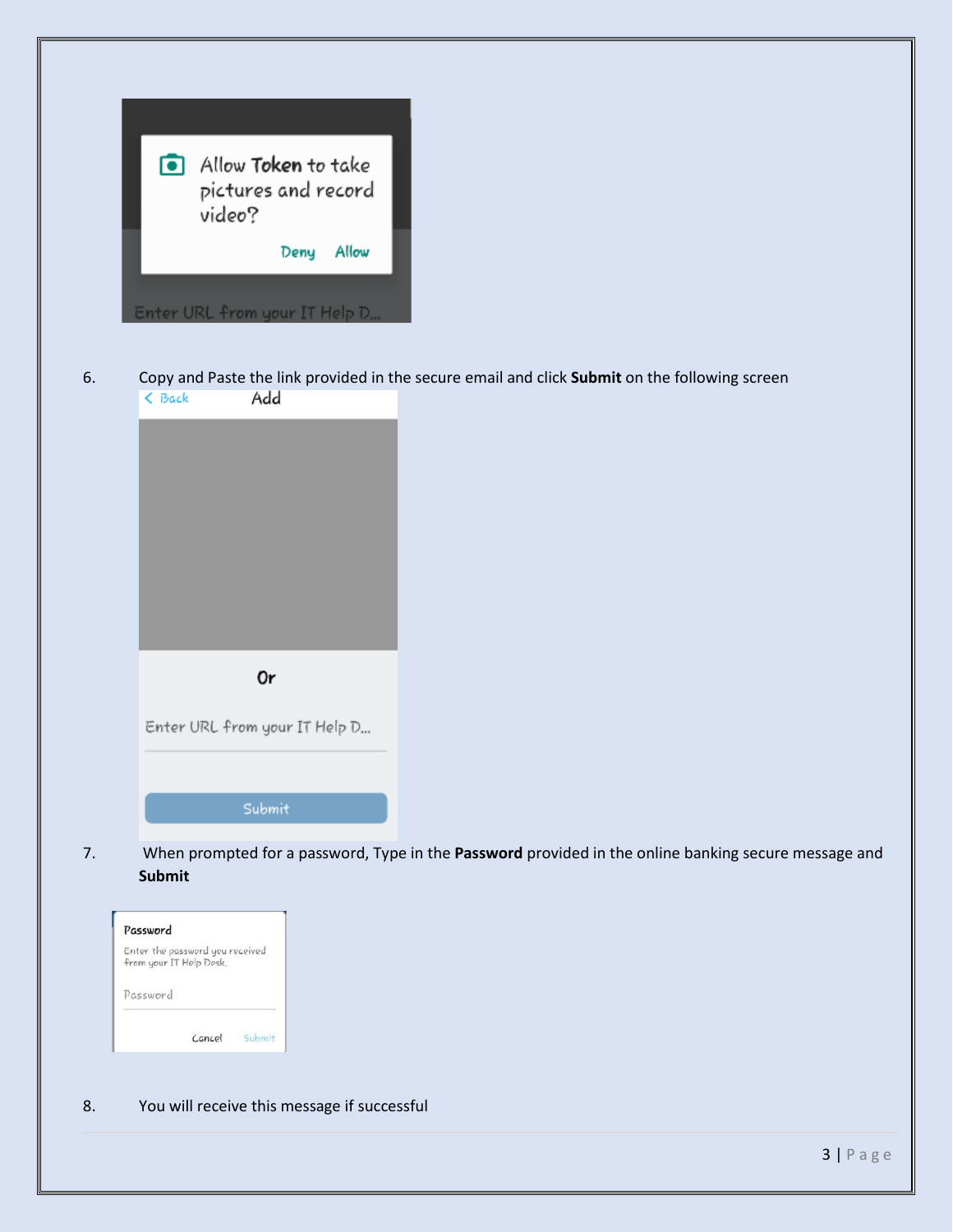| $\blacksquare$ | Allow <b>Token</b> to take<br>pictures and record<br>video? |
|----------------|-------------------------------------------------------------|
|                | Deny Allow                                                  |
|                | Enter URL from your IT Help D                               |

6. Copy and Paste the link provided in the secure email and click **Submit** on the following screen

| 0r                            |
|-------------------------------|
|                               |
| Enter URL from your IT Help D |
|                               |
|                               |
|                               |
| Submit                        |
|                               |

7. When prompted for a password, Type in the **Password** provided in the online banking secure message and **Submit**

| from your IT Help Desk.<br>Password |  | Enter the password you received |  |
|-------------------------------------|--|---------------------------------|--|
|                                     |  |                                 |  |
|                                     |  |                                 |  |
|                                     |  |                                 |  |

8. You will receive this message if successful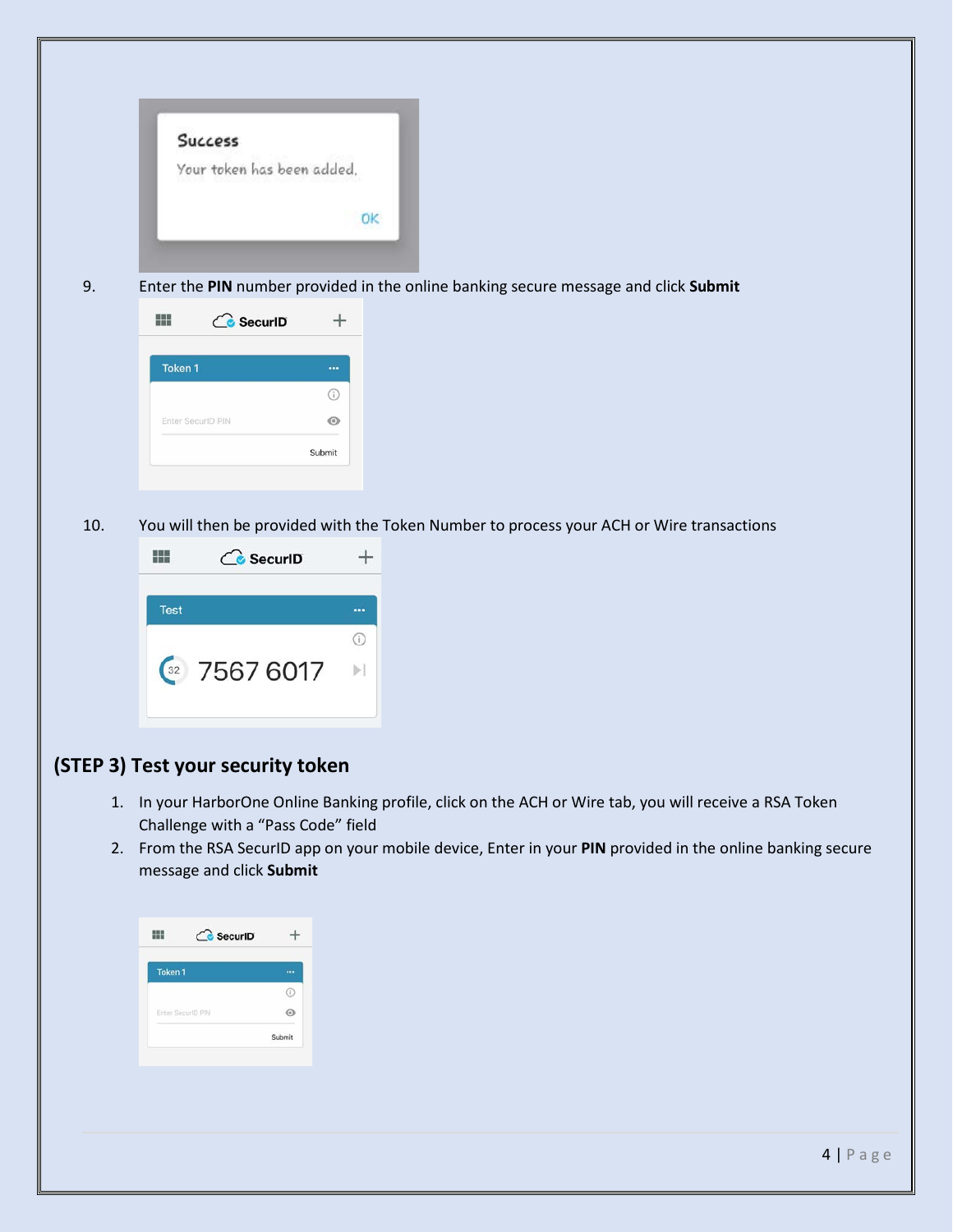|     | <b>Success</b><br>Your token has been added.                                                                      | OK       |  |  |
|-----|-------------------------------------------------------------------------------------------------------------------|----------|--|--|
| 9.  | Enter the PIN number provided in the online banking secure message and click Submit                               |          |  |  |
|     | HH.<br><b>C</b> SecuriD                                                                                           | $\! +$   |  |  |
|     | Token 1                                                                                                           | $\cdots$ |  |  |
|     |                                                                                                                   | $\odot$  |  |  |
|     | Enter SecuriD PIN                                                                                                 | $\circ$  |  |  |
|     |                                                                                                                   | Submit   |  |  |
| 10. | You will then be provided with the Token Number to process your ACH or Wire transactions<br>噩<br><b>C</b> SecuriD | $^{+}$   |  |  |
|     | Test                                                                                                              | $\cdots$ |  |  |
|     |                                                                                                                   | $\odot$  |  |  |
|     | $\frac{32}{25676017}$                                                                                             |          |  |  |

- 1. In your HarborOne Online Banking profile, click on the ACH or Wire tab, you will receive a RSA Token Challenge with a "Pass Code" field
- 2. From the RSA SecurID app on your mobile device, Enter in your **PIN** provided in the online banking secure message and click **Submit**

| Token <sub>1</sub> |        |
|--------------------|--------|
|                    | Ŧ      |
| Enter SecuriD PIN  |        |
|                    | Submit |
|                    |        |
|                    |        |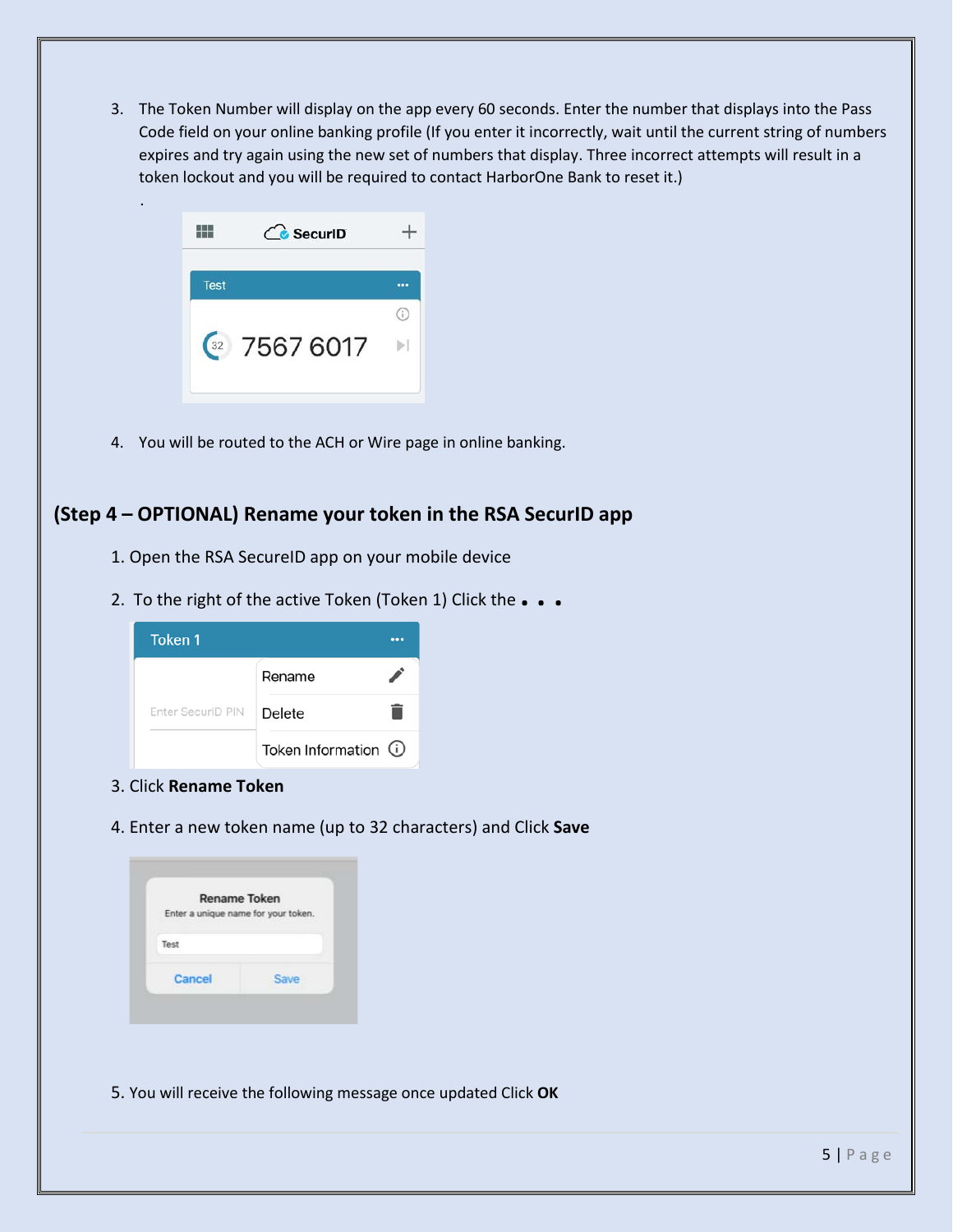3. The Token Number will display on the app every 60 seconds. Enter the number that displays into the Pass Code field on your online banking profile (If you enter it incorrectly, wait until the current string of numbers expires and try again using the new set of numbers that display. Three incorrect attempts will result in a token lockout and you will be required to contact HarborOne Bank to reset it.)

|             | <b>C</b> SecuriD |  |
|-------------|------------------|--|
| <b>Test</b> |                  |  |
|             |                  |  |
|             | 32 7567 6017     |  |

.

4. You will be routed to the ACH or Wire page in online banking.

## **(Step 4 – OPTIONAL) Rename your token in the RSA SecurID app**

- 1. Open the RSA SecureID app on your mobile device
- 2. To the right of the active Token (Token 1) Click the **. . .**



- 3. Click **Rename Token**
- 4. Enter a new token name (up to 32 characters) and Click **Save**

|                                     | <b>Rename Token</b> |
|-------------------------------------|---------------------|
| Enter a unique name for your token. |                     |
|                                     |                     |
| Test                                |                     |
| Cancel                              | Save                |

5. You will receive the following message once updated Click **OK**